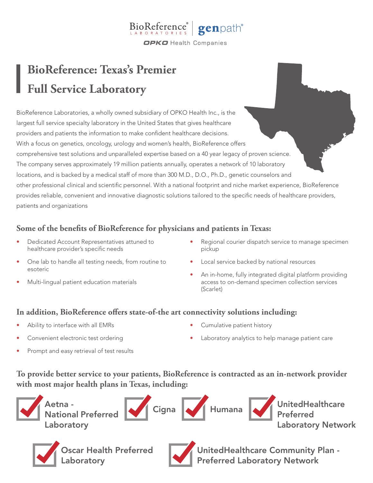#### BioReference® genpath® **OPKO** Health Companies

# **BioReference: Texas's Premier Full Service Laboratory**

BioReference Laboratories, a wholly owned subsidiary of OPKO Health Inc., is the largest full service specialty laboratory in the United States that gives healthcare providers and patients the information to make confident healthcare decisions. With a focus on genetics, oncology, urology and women's health, BioReference offers comprehensive test solutions and unparalleled expertise based on a 40 year legacy of proven science. The company serves approximately 19 million patients annually, operates a network of 10 laboratory locations, and is backed by a medical staff of more than 300 M.D., D.O., Ph.D., genetic counselors and other professional clinical and scientific personnel. With a national footprint and niche market experience, BioReference provides reliable, convenient and innovative diagnostic solutions tailored to the specific needs of healthcare providers, patients and organizations

## **Some of the benefits of BioReference for physicians and patients in Texas:**

- Dedicated Account Representatives attuned to healthcare provider's specific needs
- One lab to handle all testing needs, from routine to esoteric
- Multi-lingual patient education materials
- Regional courier dispatch service to manage specimen pickup
- Local service backed by national resources
- An in-home, fully integrated digital platform providing access to on-demand specimen collection services (Scarlet)

#### **In addition, BioReference offers state-of-the art connectivity solutions including:**

- Ability to interface with all EMRs
- Convenient electronic test ordering
- Prompt and easy retrieval of test results
- Cumulative patient history
- Laboratory analytics to help manage patient care

## **To provide better service to your patients, BioReference is contracted as an in-network provider with most major health plans in Texas, including:**









UnitedHealthcare Community Plan - Preferred Laboratory Network